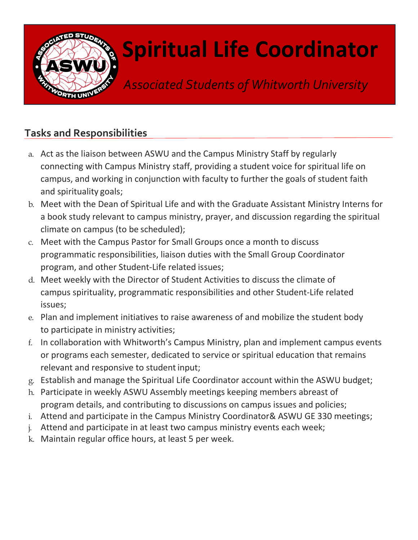

## Spiritual Life Coordinator

Associated Students of Whitworth University

## Tasks and Responsibilities

- a. Act as the liaison between ASWU and the Campus Ministry Staff by regularly connecting with Campus Ministry staff, providing a student voice for spiritual life on campus, and working in conjunction with faculty to further the goals of student faith and spirituality goals;
- b. Meet with the Dean of Spiritual Life and with the Graduate Assistant Ministry Interns for a book study relevant to campus ministry, prayer, and discussion regarding the spiritual climate on campus (to be scheduled);
- c. Meet with the Campus Pastor for Small Groups once a month to discuss programmatic responsibilities, liaison duties with the Small Group Coordinator program, and other Student-Life related issues;
- d. Meet weekly with the Director of Student Activities to discuss the climate of campus spirituality, programmatic responsibilities and other Student-Life related issues;
- e. Plan and implement initiatives to raise awareness of and mobilize the student body to participate in ministry activities;
- f. In collaboration with Whitworth's Campus Ministry, plan and implement campus events or programs each semester, dedicated to service or spiritual education that remains relevant and responsive to student input;
- g. Establish and manage the Spiritual Life Coordinator account within the ASWU budget;
- h. Participate in weekly ASWU Assembly meetings keeping members abreast of program details, and contributing to discussions on campus issues and policies;
- i. Attend and participate in the Campus Ministry Coordinator& ASWU GE 330 meetings;
- j. Attend and participate in at least two campus ministry events each week;
- k. Maintain regular office hours, at least 5 per week.